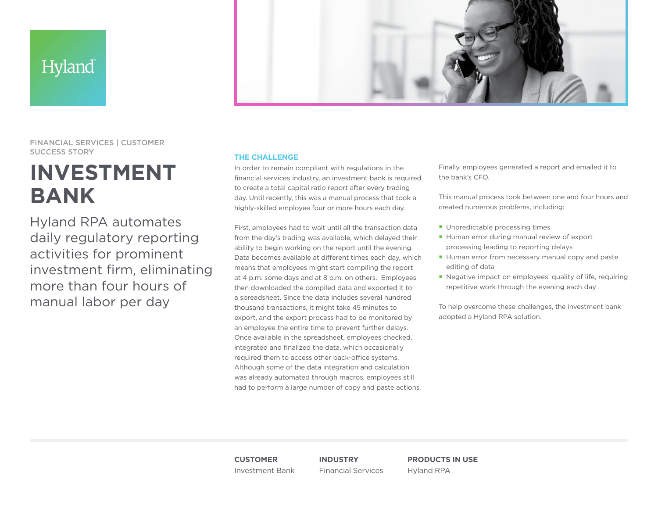## Hyland



FINANCIAL SERVICES | CUSTOMER SUCCESS STORY

# **INVESTMENT BANK**

Hyland RPA automates daily regulatory reporting activities for prominent investment firm, eliminating more than four hours of manual labor per day

### **THE CHALLENGE**

In order to remain compliant with regulations in the financial services industry, an investment bank is required to create a total capital ratio report after every trading day. Until recently, this was a manual process that took a highly-skilled employee four or more hours each day.

First, employees had to wait until all the transaction data from the day's trading was available, which delayed their ability to begin working on the report until the evening. Data becomes available at different times each day, which means that employees might start compiling the report at 4 p.m. some days and at 8 p.m. on others. Employees then downloaded the compiled data and exported it to a spreadsheet. Since the data includes several hundred thousand transactions, it might take 45 minutes to export, and the export process had to be monitored by an employee the entire time to prevent further delays. Once available in the spreadsheet, employees checked, integrated and finalized the data, which occasionally required them to access other back-office systems. Although some of the data integration and calculation was already automated through macros, employees still had to perform a large number of copy and paste actions.

Finally, employees generated a report and emailed it to the bank's CFO.

This manual process took between one and four hours and created numerous problems, including:

- **Unpredictable processing times**
- Human error during manual review of export processing leading to reporting delays
- Human error from necessary manual copy and paste editing of data
- Negative impact on employees' quality of life, requiring repetitive work through the evening each day

To help overcome these challenges, the investment bank adopted a Hyland RPA solution.

**CUSTOMER** Investment Bank **INDUSTRY** Financial Services **PRODUCTS IN USE** Hyland RPA